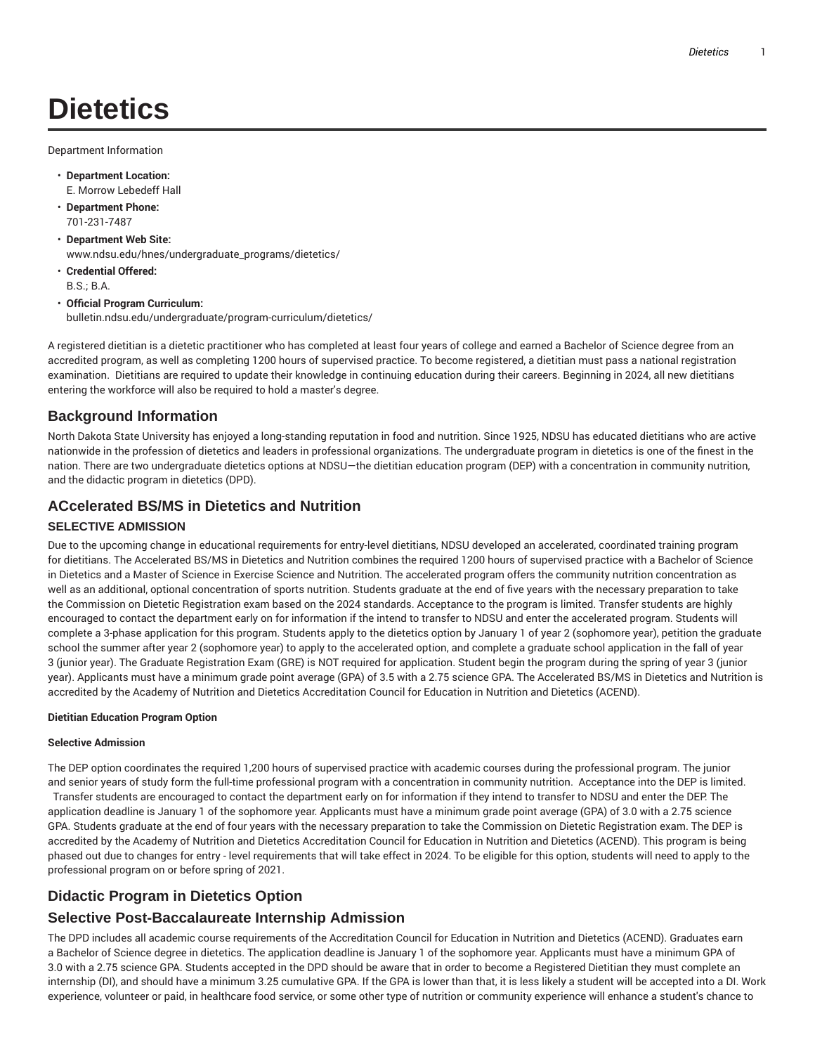# **Dietetics**

Department Information

- **Department Location:** E. Morrow Lebedeff Hall
- **Department Phone:** 701-231-7487
- **Department Web Site:** www.ndsu.edu/hnes/undergraduate\_programs/dietetics/
- **Credential Offered:** B.S.; B.A.
- **Official Program Curriculum:** bulletin.ndsu.edu/undergraduate/program-curriculum/dietetics/

A registered dietitian is a dietetic practitioner who has completed at least four years of college and earned a Bachelor of Science degree from an accredited program, as well as completing 1200 hours of supervised practice. To become registered, a dietitian must pass a national registration examination. Dietitians are required to update their knowledge in continuing education during their careers. Beginning in 2024, all new dietitians entering the workforce will also be required to hold a master's degree.

## **Background Information**

North Dakota State University has enjoyed a long-standing reputation in food and nutrition. Since 1925, NDSU has educated dietitians who are active nationwide in the profession of dietetics and leaders in professional organizations. The undergraduate program in dietetics is one of the finest in the nation. There are two undergraduate dietetics options at NDSU—the dietitian education program (DEP) with a concentration in community nutrition, and the didactic program in dietetics (DPD).

#### **ACcelerated BS/MS in Dietetics and Nutrition**

#### **SELECTIVE ADMISSION**

Due to the upcoming change in educational requirements for entry-level dietitians, NDSU developed an accelerated, coordinated training program for dietitians. The Accelerated BS/MS in Dietetics and Nutrition combines the required 1200 hours of supervised practice with a Bachelor of Science in Dietetics and a Master of Science in Exercise Science and Nutrition. The accelerated program offers the community nutrition concentration as well as an additional, optional concentration of sports nutrition. Students graduate at the end of five years with the necessary preparation to take the Commission on Dietetic Registration exam based on the 2024 standards. Acceptance to the program is limited. Transfer students are highly encouraged to contact the department early on for information if the intend to transfer to NDSU and enter the accelerated program. Students will complete a 3-phase application for this program. Students apply to the dietetics option by January 1 of year 2 (sophomore year), petition the graduate school the summer after year 2 (sophomore year) to apply to the accelerated option, and complete a graduate school application in the fall of year 3 (junior year). The Graduate Registration Exam (GRE) is NOT required for application. Student begin the program during the spring of year 3 (junior year). Applicants must have a minimum grade point average (GPA) of 3.5 with a 2.75 science GPA. The Accelerated BS/MS in Dietetics and Nutrition is accredited by the Academy of Nutrition and Dietetics Accreditation Council for Education in Nutrition and Dietetics (ACEND).

#### **Dietitian Education Program Option**

#### **Selective Admission**

The DEP option coordinates the required 1,200 hours of supervised practice with academic courses during the professional program. The junior and senior years of study form the full-time professional program with a concentration in community nutrition. Acceptance into the DEP is limited. Transfer students are encouraged to contact the department early on for information if they intend to transfer to NDSU and enter the DEP. The application deadline is January 1 of the sophomore year. Applicants must have a minimum grade point average (GPA) of 3.0 with a 2.75 science GPA. Students graduate at the end of four years with the necessary preparation to take the Commission on Dietetic Registration exam. The DEP is accredited by the Academy of Nutrition and Dietetics Accreditation Council for Education in Nutrition and Dietetics (ACEND). This program is being phased out due to changes for entry - level requirements that will take effect in 2024. To be eligible for this option, students will need to apply to the professional program on or before spring of 2021.

## **Didactic Program in Dietetics Option**

# **Selective Post-Baccalaureate Internship Admission**

The DPD includes all academic course requirements of the Accreditation Council for Education in Nutrition and Dietetics (ACEND). Graduates earn a Bachelor of Science degree in dietetics. The application deadline is January 1 of the sophomore year. Applicants must have a minimum GPA of 3.0 with a 2.75 science GPA. Students accepted in the DPD should be aware that in order to become a Registered Dietitian they must complete an internship (DI), and should have a minimum 3.25 cumulative GPA. If the GPA is lower than that, it is less likely a student will be accepted into a DI. Work experience, volunteer or paid, in healthcare food service, or some other type of nutrition or community experience will enhance a student's chance to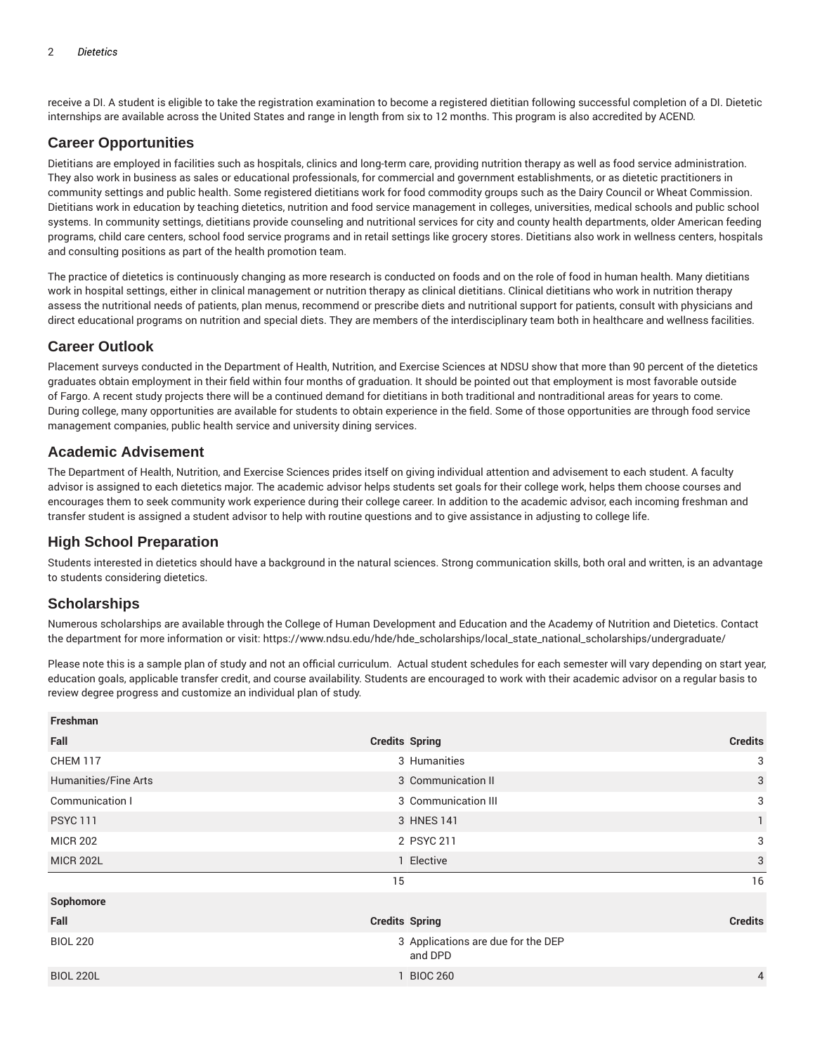receive a DI. A student is eligible to take the registration examination to become a registered dietitian following successful completion of a DI. Dietetic internships are available across the United States and range in length from six to 12 months. This program is also accredited by ACEND.

### **Career Opportunities**

Dietitians are employed in facilities such as hospitals, clinics and long-term care, providing nutrition therapy as well as food service administration. They also work in business as sales or educational professionals, for commercial and government establishments, or as dietetic practitioners in community settings and public health. Some registered dietitians work for food commodity groups such as the Dairy Council or Wheat Commission. Dietitians work in education by teaching dietetics, nutrition and food service management in colleges, universities, medical schools and public school systems. In community settings, dietitians provide counseling and nutritional services for city and county health departments, older American feeding programs, child care centers, school food service programs and in retail settings like grocery stores. Dietitians also work in wellness centers, hospitals and consulting positions as part of the health promotion team.

The practice of dietetics is continuously changing as more research is conducted on foods and on the role of food in human health. Many dietitians work in hospital settings, either in clinical management or nutrition therapy as clinical dietitians. Clinical dietitians who work in nutrition therapy assess the nutritional needs of patients, plan menus, recommend or prescribe diets and nutritional support for patients, consult with physicians and direct educational programs on nutrition and special diets. They are members of the interdisciplinary team both in healthcare and wellness facilities.

#### **Career Outlook**

Placement surveys conducted in the Department of Health, Nutrition, and Exercise Sciences at NDSU show that more than 90 percent of the dietetics graduates obtain employment in their field within four months of graduation. It should be pointed out that employment is most favorable outside of Fargo. A recent study projects there will be a continued demand for dietitians in both traditional and nontraditional areas for years to come. During college, many opportunities are available for students to obtain experience in the field. Some of those opportunities are through food service management companies, public health service and university dining services.

#### **Academic Advisement**

The Department of Health, Nutrition, and Exercise Sciences prides itself on giving individual attention and advisement to each student. A faculty advisor is assigned to each dietetics major. The academic advisor helps students set goals for their college work, helps them choose courses and encourages them to seek community work experience during their college career. In addition to the academic advisor, each incoming freshman and transfer student is assigned a student advisor to help with routine questions and to give assistance in adjusting to college life.

#### **High School Preparation**

Students interested in dietetics should have a background in the natural sciences. Strong communication skills, both oral and written, is an advantage to students considering dietetics.

#### **Scholarships**

Numerous scholarships are available through the College of Human Development and Education and the Academy of Nutrition and Dietetics. Contact the department for more information or visit: https://www.ndsu.edu/hde/hde\_scholarships/local\_state\_national\_scholarships/undergraduate/

Please note this is a sample plan of study and not an official curriculum. Actual student schedules for each semester will vary depending on start year, education goals, applicable transfer credit, and course availability. Students are encouraged to work with their academic advisor on a regular basis to review degree progress and customize an individual plan of study.

| Freshman             |                                               |                |  |  |
|----------------------|-----------------------------------------------|----------------|--|--|
| Fall                 | <b>Credits Spring</b>                         | <b>Credits</b> |  |  |
| <b>CHEM 117</b>      | 3 Humanities                                  | 3              |  |  |
| Humanities/Fine Arts | 3 Communication II                            |                |  |  |
| Communication I      | 3 Communication III                           |                |  |  |
| <b>PSYC 111</b>      | 3 HNES 141                                    | $\mathbf{1}$   |  |  |
| <b>MICR 202</b>      | 2 PSYC 211                                    | 3              |  |  |
| <b>MICR 202L</b>     | 1 Elective                                    | 3              |  |  |
|                      | 15                                            | 16             |  |  |
| Sophomore            |                                               |                |  |  |
| Fall                 | <b>Credits Spring</b>                         | <b>Credits</b> |  |  |
| <b>BIOL 220</b>      | 3 Applications are due for the DEP<br>and DPD |                |  |  |
| <b>BIOL 220L</b>     | <b>BIOC 260</b>                               | $\overline{4}$ |  |  |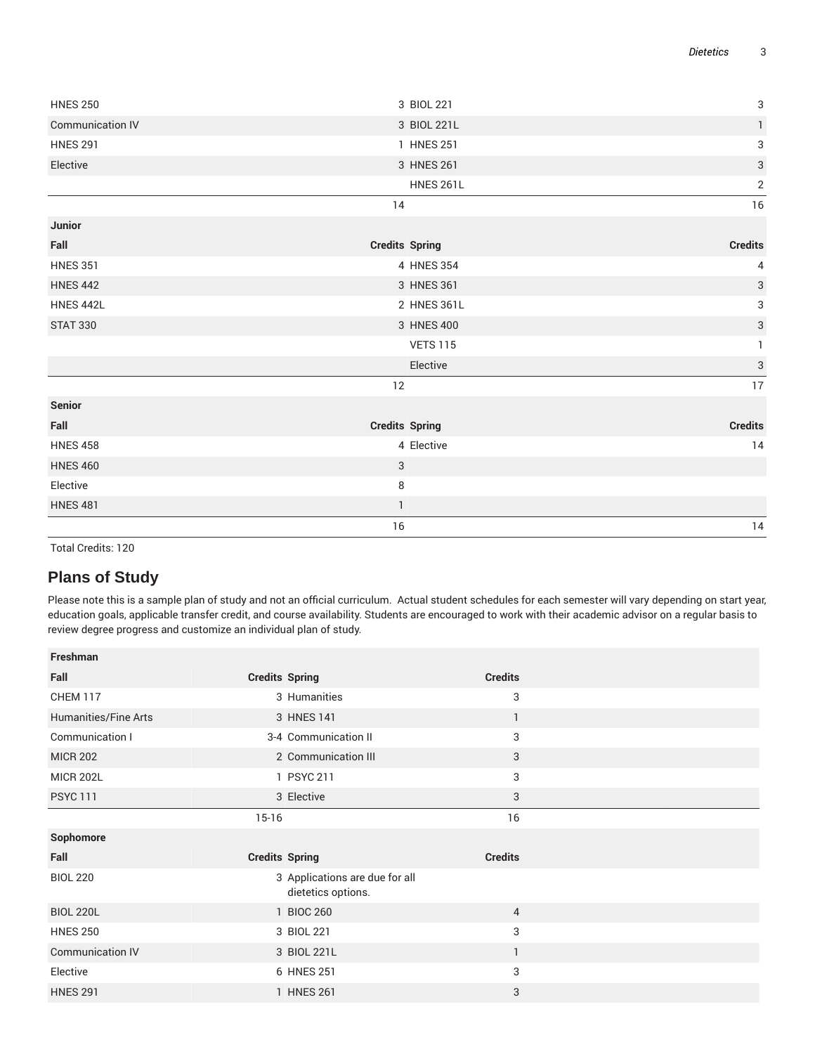| <b>HNES 250</b>  | 3 BIOL 221            | $\ensuremath{\mathsf{3}}$ |
|------------------|-----------------------|---------------------------|
| Communication IV | 3 BIOL 221L           | $\mathbf{1}$              |
| <b>HNES 291</b>  | 1 HNES 251            | 3                         |
| Elective         | 3 HNES 261            | $\mathbf{3}$              |
|                  | <b>HNES 261L</b>      | $\overline{2}$            |
|                  | 14                    | 16                        |
| Junior           |                       |                           |
| Fall             | <b>Credits Spring</b> | <b>Credits</b>            |
| <b>HNES 351</b>  | 4 HNES 354            | 4                         |
| <b>HNES 442</b>  | 3 HNES 361            | $\ensuremath{\mathsf{3}}$ |
| <b>HNES 442L</b> | 2 HNES 361L           | 3                         |
| <b>STAT 330</b>  | 3 HNES 400            | $\sqrt{3}$                |
|                  | <b>VETS 115</b>       | $\mathbf{1}$              |
|                  | Elective              | 3                         |
|                  | 12                    | 17                        |
| Senior           |                       |                           |
| Fall             | <b>Credits Spring</b> | <b>Credits</b>            |
| <b>HNES 458</b>  | 4 Elective            | 14                        |
| <b>HNES 460</b>  | 3                     |                           |
| Elective         | 8                     |                           |
| <b>HNES 481</b>  | $\mathbf{1}$          |                           |
|                  | 16                    | 14                        |

Total Credits: 120

# **Plans of Study**

Please note this is a sample plan of study and not an official curriculum. Actual student schedules for each semester will vary depending on start year, education goals, applicable transfer credit, and course availability. Students are encouraged to work with their academic advisor on a regular basis to review degree progress and customize an individual plan of study.